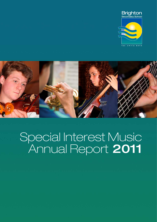



# Special Interest Music Annual Report 2011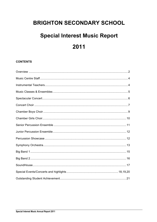# **BRIGHTON SECONDARY SCHOOL**

# **Special Interest Music Report**

# 2011

# **CONTENTS**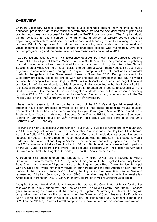# **OVERVIEW**

Brighton Secondary School Special Interest Music continued seeking new heights in music education, presented high calibre musical performances, trained the next generation of gifted and talented musicians, and successfully delivered the SACE Music curriculum. The Brighton Music Centre achieved a record number of entrants into a variety of tertiary courses such as engineering, architecture, medicine, medical science and teaching as well as a range of music courses. Brighton's reputation for nurturing and developing truly outstanding instrumental and vocal ensembles and international standard instrumental soloists was maintained. Divergent concert programming and the presentation of new music were continued in 2011.

I was particularly delighted when His Excellency Rear Admiral Kevin Scarce agreed to become Patron of the four Special Interest Music Centres in South Australia. The process of negotiating this patronage began when I was invited to organize a group of Brighton Secondary School Special Interest Music Centre's finest musicians to perform at Government House. This event was organized in conjunction with Heritage SA to give a sumptuous feast of vocal and instrumental music in the gallery of the Government House in November 2010. During this event His Excellency graciously posed for photos with our students and agreed that one day he would consider becoming a Patron of Brighton SIMC in South Australia. After much negotiation and consideration of vice regal protocol, His Excellency finally consented to be the Patron of all the four Special Interest Music Centres in South Australia. Brighton continued its relationship with the South Australian Government House when Brighton students were invited to present a morning recital on 3<sup>rd</sup> April 2011 at the Government House Open Day and again, in conjunction with the SA Police Band, on the 175<sup>th</sup> Birthday Celebration on 13<sup>th</sup> November.

I have much pleasure to inform you that a group of the 2011 Year 8 Special Interest Music students have been propelled forward to be one of the most outstanding young musical ensembles after less than nine months training. This year 8 jazz group (7 in total) performed in our Brighton Jazz Cabaret, Indigenous Students Open Day at Brighton and Andrew Southcott's 'Spring' in Springfield House on 20<sup>th</sup> November. This group will also perform at the 2012 'Carnevale' on 11<sup>th</sup> February

Following the highly successful World Concert Tour in 2010, I visited to China and Italy in January 2011 to have negotiations with Tim Fischer, Australian Ambassador to the Holy See, Clelia March, Australian Cultural Attaché in Rome and the Italian Consulate in Adelaide's representative Ignazia Nespolo in Padova. The end result of these negotiations was that Brighton music students would perform at the Italian National Day in Adelaide. This year was particularly special as it was also the 150<sup>th</sup> anniversary of Italian Reunification in 1861 and Brighton students were invited to perform on the 25<sup>th</sup> June to celebrate this event. I also secured a concert with Tim Fischer as Key Note Speaker to celebrate the Brighton Secondary School 60<sup>th</sup> Anniversary in 2012.

A group of BSS students under the leadership of Principal O'Neill and I travelled to Villers Bretonneux to commemorate ANZAC Day in April this year while the Brighton Secondary School Boys Choir gave a wonderful performance at the Brighton Jetty Road Dawn Service. Principal Olivia O'Neill and I were immensely moved by our heritage and the true Australian spirit that we planned further visits to France for 2013. During the July vacation Andrew Dean went to Paris and represented Brighton Secondary School SIMC to enable negotiations with the Australian Ambassador in Paris for ANZAC Day Centenary Celebration in Villers Bretonneux to begin.

Craig Bentley was Head of Music and Andrew Barrett was the Coordinator of Music for the first four weeks of Term 2 during my Long Service Leave. The Music Centre under these 2 leaders gave an amazing performance at the opening of Brighton Performing Art Centre. An original composition was written for this occasion when the Governor of South Australia His Excellency Kevin Scarce and the then Minister of Education, the Honourable Jay Weatherill opened the BPAC on the 19<sup>th</sup> May. Andrew Barrett composed a special fanfare for this occasion and we were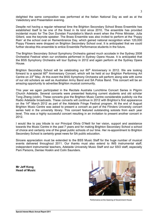delighted the same composition was performed at the Italian National Day as well as at the Valedictory and Presentation evening.

Despite not having a regular rehearsal time the Brighton Secondary School Brass Ensemble has established itself to be one of the finest in its kind since 2010. The ensemble has provided incidental music for The Don Dunstan Foundation's March event when the Prime Minister, Julia Gillard, was the keynote speaker. The Brass Ensemble was also invited to perform at the 'Poppy Rain' at the school oval on Remembrance Day, which gained national recognition when 120,000 Poppy Flowers were dropped on Brighton Secondary School oval. It is anticipated that we could further develop this ensemble to entice Ensemble Performance students in the future.

The Brighton Secondary School Symphony Orchestra gained much accolade in the Sydney 2008 Orchestral Festival when our orchestra performed in Sydney Opera House. It is anticipated that the BSS Symphony Orchestra will tour Sydney in 2012 and again perform at the Sydney Opera House.

Brighton Secondary School will be celebrating our  $60<sup>th</sup>$  Anniversary in 2012. We are looking forward to a special 60<sup>th</sup> Anniversary Concert, which will be held at our Brighton Performing Art Centre on 23<sup>rd</sup> May. At this event the BSS Symphony Orchestra will perform along side with some of our old scholars as well as Australian Army Band and SA Police Band. This concert will be an amazing opportunity to advertise Brighton musical community.

This year we again participated in the Recitals Australia Lunchtime Concert Series in Pilgrim Church Adelaide. Several concerts were presented featuring current students and old scholar Tong Zheng (violin). These concerts give the Brighton Music Centre considerable publicity via the Radio Adelaide broadcasts. These concerts will continue in 2012 with Brighton's first appearance on the 14<sup>th</sup> March 2012 as part of the Adelaide Fringe Festival program. At the end of August Brighton Music Centre was asked to present a concert as part of the Flinders University concert series held in the university library. This concert featured outstanding soloists from each year level. This was a highly successful concert resulting in an invitation to present another concert in 2012.

I would like to pay tribute to our Principal Olivia O'Neill for her vision, support and assistance towards the Music Centre in the past 7 years and for making Brighton Secondary School a school of choice and certainly one of the great public schools of our time. Her re-appointment to Brighton Secondary School is certainly great news for SA public education.

Sincere appreciation must be extended to the BSS Music Staff for the huge number of musical events delivered throughout 2011. Our thanks must also extend to IMS instrumental staff, independent instrumental teachers, Adelaide University Music Staff and our SSO staff, especially Pam Parsons, Denise Hoskin and Colin Saunders.

**Mr Jeff Kong Head of Music**



Performance at the Opening of Government House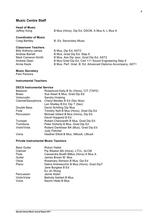| <b>Head of Music</b><br>Jeffrey Kong                | B Mus (Hons), Dip Ed, DSCM, A Mus A, L Mus A |
|-----------------------------------------------------|----------------------------------------------|
| <b>Coordinator of Music</b><br><b>Craig Bentley</b> | <b>B. Ed. Secondary Music</b>                |
| <b>Classroom Teachers</b>                           |                                              |
| <b>Billy Anthony-James</b>                          | B Mus, Dip Ed, AST2                          |
| <b>Andrew Barrett</b>                               | B Mus, Grad Dip Ed, Step 9                   |
| Mark Cameron-Smith                                  | B Mus, Ass Dip Jazz, Grad Dip Ed, AST2       |

Annie Kwok B Mus, Perf. Grad. B. Ed. Advanced Diploma Accompany, AST1

Andrew Dean **B Mus Grad Dip Ed, Cert 111 Sound Engineering Step 9** 

# **Music Secretary**

Pam Parsons

#### **Instrumental Teachers**

#### **DECS Instrumental Service**

| Bassoon            | Rosamund Kelly B Sc (Hons), CIT (TAFE)                        |
|--------------------|---------------------------------------------------------------|
| <b>Brass</b>       | Sue Asser B Mus, Grad Dip Ed                                  |
| Violoncello        | Sandra Hosking                                                |
| Clarinet/Saxophone | Cheryl Bentley B Ed (Sec Mus)                                 |
|                    | Len Shelley B Ed, Dip T (Sec)                                 |
| Double Bass        | David Schilling Dip Mus                                       |
| Flute              | Timothy Nott B Mus (Hons), Grad Dip Ed                        |
| Percussion         | Michael Gillard B Mus (Hons), Dip Ed                          |
|                    | David Hopgood B Ed                                            |
| Trumpet            | Robert Chenoweth B Mus, Grad Dip Ed                           |
| Trombone           | Peter Doherty B Mus, Grad Dip Ed                              |
| Violin/Viola       | Roland Dankbaar BA (Mus), Grad Dip Ed<br><b>Judy Fletcher</b> |
| Voice              | Heather Elliott B Mus, AMusA, LMusA                           |

#### **Private Instrumental Music Teachers**

| Robyn Habel                               |
|-------------------------------------------|
| Pip Weston BA (Hons), LTCL, ALCM          |
| Cassandra Boath BMus (Hons) A Mus A       |
| James Brown M. Mus                        |
| Rosemary Stimson B Mus, Dip Ed            |
| Debra Andreacchio B Mus (Hons), Grad DipT |
| Jane Burgess B Ed                         |
| Eu Jin Wong                               |
| Jamie Adam                                |
| <b>Belinda Gehlert B Mus</b>              |
| Naomi Hede B Mus                          |
|                                           |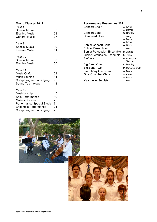# **Music Classes 2011**

| Year 8<br><b>Special Music</b><br><b>Elective Music</b><br><b>General Music</b>                                                                                      | 30<br>58<br>37                |
|----------------------------------------------------------------------------------------------------------------------------------------------------------------------|-------------------------------|
| Year 9<br><b>Special Music</b><br><b>Elective Music</b>                                                                                                              | 19<br>51                      |
| Year 10<br><b>Special Music</b><br><b>Elective Music</b>                                                                                                             | 38<br>56                      |
| Year 11<br><b>Music Craft</b><br><b>Music Studies</b><br><b>Composing and Arranging</b><br>Sound Technology                                                          | 29<br>14<br>9<br>13           |
| Year 12<br>Musicianship<br>Solo Performance<br><b>Music in Context</b><br>Performance Special Study<br><b>Ensemble Performance</b><br><b>Composing and Arranging</b> | 15<br>19<br>7<br>7<br>24<br>7 |

# **Performance Ensembles 2011** Concert Choir A. Kwok

|                            | A. Barrett       |
|----------------------------|------------------|
| <b>Concert Band</b>        | C. Bentley       |
| <b>Combined Choir</b>      | J. Kong          |
|                            | A. Barrett       |
|                            | A. Kwok          |
| Senior Concert Band        | A. Barrett       |
| School Ensembles           | J. Kong          |
| Senior Percussion Ensemble | B. James         |
| Junior Percussion Ensemble | M. Gillard       |
| Sinfonia                   | R. Dankbaar      |
|                            | J. Fletcher      |
| Big Band One               | C. Bentley       |
| <b>Big Band Two</b>        | M. Cameron-Smith |
| Symphony Orchestra         | A. Dean          |
| Girls Chamber Choir        | A. Kwok          |
|                            | A. Barrett       |
| Year Level Soloists        | J. Kong          |
|                            |                  |

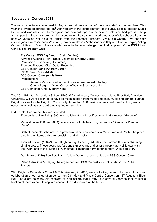# **Spectacular Concert 2011**

The music spectacular was held in August and showcased all of the music staff and ensembles. This vear this event celebrated the 35<sup>th</sup> Anniversary of the establishment of the BSS Special Interest Music Centre and was also used to recognise and acknowledge a number of people who had provided help and support to the music program in recent years. It also showcased a number of old scholars from the past 35 years as well as guest artists from the Fremont Elizabeth City Music Centre. Two specially invited guests were Amanda Vanstone, former Australian Ambassador in Italy and Orietta Borgia, Acting Consul of Italy in South Australia who were to be acknowledged for their support of the BSS Music Centre. The program was:-

Pre Concert BSS Big Band 1 (Craig Bentley) Advance Australia Fair – Brass Ensemble (Andrew Barrett) Percussion Ensemble (Billy James) Fremont Elizabeth City– Guitar Ensemble BSS Concert Band (Andrew Barrett) Old Scholar Guest Artists BSS Concert Choir (Annie Kwok) Presentations:- Amanda Vanstone – Former Australian Ambassador to Italy Orietta Borgia – Acting Consul of Italy in South Australia BSS Combined Choir (Jeffrey Kong)

The 2011 Brighton Secondary School SIMC 35<sup>th</sup> Anniversary Concert was held at Elder Hall, Adelaide University. We were delighted to have so much support from music students, music and general staff at Brighton as well as the Brighton Community. More than 200 music students performed at this joyous occasion as well as some extremely gifted old scholars.

Old Scholar Performers this year included:

Trombonist Julian Bain (1996) who collaborated with Jeffrey Kong in Guilmant's "Morceau".

Violinist Lucas O'Brien (2003) collaborated with Jeffrey Kong in Frank's "Sonata for Piano and Violin".

Both of these old scholars have professional musical careers in Melbourne and Perth. The piano part for their items called for precision and virtuosity.

'Limited Edition' (1989/90) – 8 Brighton High School graduates from formed this very charming singing group. These young professionals (musicians and other careers) are well known with their work and at the "Sound of Christmas" concert performed tunes from "Westside Story".

Duo Pianist (2010) Ben Betelli and Callum Gunn to accompanied the BSS Concert Choir.

Peter Kelsal (1985) playing the organ part with BSS Orchestra in Holt's "Mars" from "The Planets".

With Brighton Secondary School 60<sup>th</sup> Anniversary in 2012, we are looking forward to more old scholar collaboration at our celebration concert on 23<sup>rd</sup> May and Music Centre Concert on 15<sup>th</sup> August in Elder Hall. There are so many old scholars of high calibre that it may take several years to feature just a fraction of them without taking into account the old scholars of the future.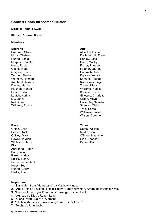# **Concert Choir/ Ilfracombe Illusion**

#### **Director: Annie Kwok**

#### **Pianist: Andrew Barrett**

#### **Members:**

#### **Soprano**

Bremner, Chloe Hicks, Chelsea Huang, Sonia Murphy, Danielle Nunu, Rosie Osenk, Ivana Quigley, Emma Warner, Aiesha Wethem, Hannah Archbold, Jessica Davies, Harriet Fatchen, Renae Lam, Rosanna Leatch, Karina Liu, Jenny Nott, Gina Williams, Emma

#### **Bass**

Griffin, Colin Pearce, Nick Oakley, Mark Rowell, Jayden Whitelock, Jacob Ellis, Jo Abregana, Ralph Bain, Jacob Baker, Hurley Bullitis, Henry De La Lande, Jack Helps, Sean Huang, Garry Marks, Tom

#### **Repertoire:**

- 1. "Stand Up", from "Heart Land" by Matthew Hindson
- 2. "And I Think it's Going to Rain Today" Randy Newman, Arranged by Annie Kwok
- 3. "Dance of the Sugar Plum Fairy", arranged by Jeff Funk
- 4. "Agneau de Dieu", Rupert Lang
- 5. "Gloria Partri", Sally K. Albrecht
- 6. "Thulele Mama Ya", Lisa Young from "Coco's Lunch"
- 7. "Torches", John Joubert

# **Alto**

Affleck, Elizabeth Davies-Ardill, Freya Hartley, Jess Irvine, Mai Ly Fisher, Phoebe Footner, Lauren Galbraith, Kate Krytska, Xeniya Samuel, Rachael Rodionova, Olga Turner, Kiera Williams, Natalie Bouchier, Tara Gillespie, Charlotte Green, Maya Hollamby, Natasha Sherrah, Claire Tran, Tiarne Willemsen, Alice Wilson, DeAnne

#### **Tenor**

Coote, William Martin, Shai O'Brien, Nathaniel Olds, Spencer Parton, Bob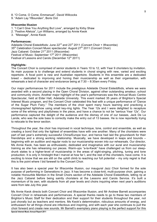- 8. "O Come, O Come, Emmanuel", David Willcocks
- 9. "Adam Lay YBounden", Boris Ord

#### **Ilfracombe Illusion**

- 1. "I Can't Give You Anything But Love", arranged by Kirby Shaw
- 2. "Festive Alleluia", Lyn Williams, arranged by Annie Kwok
- 3. "Message", Annie Kwok

#### **Performances:**

Adelaide Choral Eisteddfods: June  $22^{nd}$  and  $23^{rd}$  2011 (Concert Choir + Ilfracombe)  $35<sup>th</sup>$  Celebration Concert Music spectacular: August 27 $<sup>th</sup>$  2011 (Concert Choir)</sup> Jazz Cabaret: October 21<sup>st</sup> 2011 (Ilfracombe) Festival of Music: September 17<sup>th</sup> 2011 (Ilfracombe) Festival of Lessons and Carols (December  $12<sup>th</sup> 2011$ )

# **Highlights:**

The Concert Choir is comprised of senior students in Years 10 to 12, with Year 9 choristers by invitation. Its main purpose is to challenge and extend students in choral singing with new, varied and exciting repertoire. A focal point is new and Australian repertoire. Students in this ensemble are a dedicated breed – dedicated to improving and honing their musicianship as well as their organisation, with rehearsals a test of character and endurance being at 7:30 – 8:30am every Friday.

Our major performances for 2011 include the prestigious Adelaide Choral Eisteddfods, where we were awarded with a second placing in the Open Choral Division, against other outstanding amateur, school and community choirs. Another major highlight of the year's performances was the Annual Music Centre Spectacular, held at Elder Hall, Adelaide University. This event marked 35 years of Brighton's Special Interest Music program, and the Concert Choir celebrated this feat with a unique performance of "Dance of the Sugar Plum Fairy." The members of the choir spent many hours learning and practicing a choreographed lightshow using small key-ring lights. The Year 12s and I were delighted to recapture some of the whimsy and playfulness in the piece, and have a chance to not be "serious Year 12s". Our performance captured the delight of the audience and the dismay of one of our basses, Jack De La Lande, who was the sole bass to correctly make the entry out of 13 basses. He is now reportedly trying to relocate to the tenor section.

Throughout the year, the choir has improved in vocal technique, tone, control and ensemble, as well as creating a bond that only the tightest of ensembles have with one another. Many of the choristers were part of last year's extremely successful China/Europe tour, and hence had laid the groundwork for their friendships and a strong working relationship. Musically, we have developed in leaps and bounds – beginning with an audition and regular nods to our musicianship woven into our rehearsals. Our director, Ms Annie Kwok, has been as enthusiastic, dedicated and imaginative with our aural and musicianship training as she has rehearsing our pieces. Warm-ups "a-la-Kwok" have challenged us from our sleepdrunk states to a higher-level of musicianship in the areas of sight-singing, pitching, tuning and tone production. It is only in hindsight that I marvel at how far I, and the rest of the choristers, have come. It is exciting to know that we are still on the uphill climb to reaching our full potential – my only regret is that this is the point where I bid farewell to the Concert Choir.

It has also been a special year for Ilfracombe Illusion, our inaugural Jazz Choir formed for the sole purpose of performing in Generations in Jazz. It has become a close-knit, multi-purpose choir, gaining a notable Honourble Mention in the Small Choirs section of the Adelaide Choral Eisteddfods, letting rip at the Jazz Cabaret before being saintly choristers at the Lessons and Carols Service. It's built a momentum of its own, with students from all year levels and choirs inquiring when next year's auditions were from late July this year.

**Special Interest Music Annual Report 2011** Ms Annie Kwok directs both Concert Choir and Ilfracombe Illusion, and Mr Andrew Barrett accompanies Concert Choir in rehearsals and performances. A special thanks needs to go to these two members of Brighton's Music Staff for their dedication and their support for their students throughout the year, not just chorally but as teachers and mentors. Ms Kwok's determination, ridiculous amounts of energy, and enthusiasm for all things choral are infectious and inspiring, and with each year she continues to pull the choir forward and create new sounds. Mr Barrett's exemplary piano playing is the perfect support for this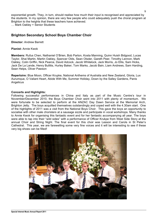exponential growth. They, in turn, should realise how much their input is recognised and appreciated by the students. In my opinion, there are very few people who could adequately push the choral program at Brighton to the heights that these teachers have achieved.

… Mark Oakley + Senior Students

# **Brighton Secondary School Boys Chamber Choir**

**Director:** Andrew Barrett

**Pianist:** Annie Kwok

**Members:** Rufus Chen, Nathaniel O'Brien, Bob Parton, Kosta Manning, Quinn Huish Bidgood, Lucas Taylor, Shai Martin, Martin Oakley, Spencer Olds, Sean Olsder, Gareth Peer, Timothy Lennon, Mark Oakley, Colin Griffin, Nick Pearce, David Adcock, Jacob Whitelock, Jack Morris, Jo Ellis, Sam Hicks, Jack De La Lande, Henry Bullitis, Hurley Baker, Tom Marks, Jacob Bain, Liam Andrews, Sam Harding, Sean Helps, Oliver Pawson

**Repertoire:** Blue Moon, Officer Krupke, National Anthems of Australia and New Zealand, Gloria, Lux Aurumque, O Valiant Heart, Abide With Me, Summer Holiday, Down by the Salley Gardens, Panis **Angelicus** 

#### **Concerts and Highlights:**

Following successful performances in China and Italy as part of the Music Centre's tour in November/December 2010, the Boys Chamber Choir went into 2011 with plenty of momentum. We were fortunate to be selected to perform at the ANZAC Day Dawn Service at the Memorial Arch, Brighton Jetty. The boys acquitted themselves outstandingly and coped well with the 4.30am start. One of the highlights of 2011 was a visit from the National Boys Choir. This gave the boys an opportunity to socialise with other male choristers at a sausage sizzle and participate in vocal workshops. Many thanks to Annie Kwok for organising this fantastic event and for her fantastic accompanying all year. The boys were able to tap into their "wild sides" with a performance of Officer Krukpe from West Side Story at the annual Choir and String Night. The final event for this choir was Lesson and Carols in St Peter's Cathedral. This year, we are farewelling some very fine voices and it will be interesting to see if these very big shoes can be filled!

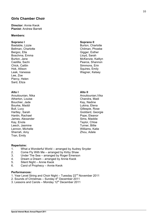# **Girls Chamber Choir**

#### **Director:** Annie Kwok **Pianist:** Andrew Barrett

#### **Members:**

#### **Soprano I**

Bastable, Lizzie Bellman, Charlotte Bergoc, Ella Boschma, Emma Burton, Jane Castilla, Sachi Chick, Caitlin Hok, Allison Leak, Vanessa Lee, Zoe Piercy, Helen Sard, Eliza

# **Alto I**

Aroutiounian, Nika Atherton, Louise Bouchier, Jade Bourke, Maddi Bull, Lucy Hartley, Sarah Hanlin, Rachael James, Alexander Kay, Enola Leech, Jasmine Lennon, Michelle Sherrah, Amy Tran, Emily

# **Soprano II**

Burton, Charlotte Chilman, Phoebe Gigger, Esther Lloyd, Sarah McKenzie, Kaitlyn Pearce, Shannon Simmons, Erin Squires, Emily Wagner, Kelsey

# **Alto II**

Aroutiounian,Vika Chandra, Madi Kay, Nadine Lukina, Elena Gillespie, Rose Goddard, Georgie Pope, Eleanor Sims, Maddie Taylor, Chloe Turner, Billie Williams, Katie Zhou, Adele

# **Repertoire:**

- 1. What a Wonderful World arranged by Audrey Snyder
- 2. Come Fly With Me arranged by Kirby Shaw
- 3. Under The Sea arranged by Roger Emerson
- 4. Dream a Dream arranged by Annie Kwok
- 5. Silent Night Annie Kwok
- 6. Carol of Prophecy Annie Kwok

# **Performances:**

- 1. Year Level String and Choir Night Tuesday 22<sup>nd</sup> November 2011
- 2. Sounds of Christmas Sunday  $4<sup>th</sup>$  December 2011
- 3. Lessons and Carols Monday  $12<sup>th</sup>$  December 2011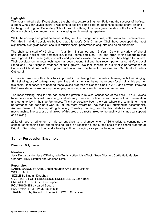# **Highlights:**

This year marked a significant change the choral structure at Brighton. Following the success of the Year 8 and 9 Girls Year Levels choirs, it was time to explore some different options to extend choral singing for the girls at Brighton Secondary School. From this thought process grew the idea of the Girls Chamber Choir – a choir to sing more varied, challenging and interesting repertoire.

While the concept had great potential, settling into the change took time, enthusiasm and perseverance. With this in mind, I absolutely believe that this year's Girls Chamber Choir have developed the most significantly alongside recent choirs in musicianship, performance etiquette and as an ensemble.

The choir consisted of 45 girls; 11 Year 8s, 18 Year 9s and 16 Year 10s with a variety of choral backgrounds, abilities and personalities. It took some persistent "trial and error" to find repertoire that was a good fit for these girls, musically and personality-wise, but when we did, they began to flourish. Their development in vocal technique has been exponential and their recent performance at Year Level String and Choir Night is evidence of their growth. We look forward to our final 2 performances at Sounds of Christmas on the Brighton back oval, and the beautiful Lessons and Carols at St Peters **Cathedral** 

Of note is how much this choir has improved in combining their theoretical learning with their singing. Sight singing, use of solfeige, clean pitching and harmonising by ear have been focal points this year for this choir. I look forward to hearing these voices progress to Concert Choir in 2012 and beyond, knowing that these students are not only developing as strong choristers, but all-round musicians.

The most exciting thing for me has been the growth in musical confidence of the choir. The 45 voices have become a choir with an energy and vibrancy; there is confidence and poise in their presentation and genuine joy in their performances. This has certainly been the year where the commitment to a performance has been hard-won, but all the more rewarding. We thank our outstanding accompanist, Andrew Barrett, for braving 45 girls every Tuesday morning, and for his reliability and wonderful musicianship. The success and growth of this group is directly linked to the quality of his musical support and playing.

2012 will see a refinement of this current choir to a chamber choir of 36 choristers, continuing the concept of extending girls' choral singing. This is a reflection of the strong basis of the choral program at Brighton Secondary School, and a healthy culture of singing as a part of being a musician.

# **Senior Percussion Ensemble**

**Director:** Billy James

# **Members:**

Jack De La Lande, Jess O'Reilly, Izzie Tunis-Notley, Liz Affleck, Sean Oldsner, Curtis Hall, Madison Chandra, Holly Szarkal and Madison Sims

# **Repertoire:**

SABRE DANCE by Aram Chatschaturjan Arr. Rafael Likjanik WOLF PACK SIZZLE By Nathan Daughtry OVERTURE FOR PERCUSSION ENSEMBLE By John Beck SNOWBOARDING By Kevin Lepper POLYPHONIES by Jared Spears FOUR WAY SPLIT by Murray Houlif TRAUMEREI by Robert Schuman Arr. WM.J. Schinstine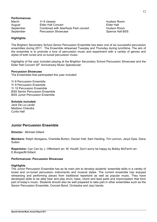| <b>Performances:</b> |                                      |                   |
|----------------------|--------------------------------------|-------------------|
| March                | Yr 8 classes                         | Hudson R          |
| August               | <b>Elder Hall Concert</b>            | <b>Elder Hall</b> |
| September            | Combined with Aberfoyle Park concert | Hudson R          |
| September            | <b>Percussion Showcase</b>           | Spence H          |

Hudson Room Hudson Room Spence Hall BSS

# **Highlights:**

The Brighton Secondary School Senior Percussion Ensemble has been one of six successful percussion ensembles during 2011. The Ensemble rehearsed Tuesday and Thursday during lunchtime. The aim of the ensemble is to promote a love of percussion music and experiment with a variety of genres and styles of both tuned and un-tuned percussion music.

Highlights of the year included playing at the Brighton Secondary School Percussion Showcase and the Elder Hall Concert 35<sup>th</sup> Anniversary Music Spectacular.

#### **Percussion Showcase**

The Ensembles that participated this year included:

Yr 8 Percussion Ensemble Yr 9 Percussion Ensemble Yr 10 Percussion Ensemble BSS Senior Percussion Ensemble BSS Junior Percussion Ensemble

#### **Soloists included:**

Jack De La Lande Madison Chandra Curtis Hall

# **Junior Percussion Ensemble**

**Director:** Michael Gillard

**Members:** Ralph Abregana, Charlotte Burton, Declan Hall, Sam Harding, Tim Lennon, Jaryd Opie, Dana **Sutton** 

**Repertoire:** Can Can by J. Offenbach arr. M. Houllif, Don't worry be happy by Bobby McFerrin arr. E.Borgas/M.Gillard

#### **Performances: Percussion Showcase**

#### **Highlights**

The Junior Percussion Ensemble has as its main aim to develop students' ensemble skills in a variety of tuned and un-tuned percussion instruments and musical styles. The current ensemble has enjoyed rehearsing and performing pieces from traditional repertoire as well as popular music. They have developed skills to be able hear and play drum, bass, chord and lead parts and improvisation that form part of today's music. Students should also be well prepared to take part in other ensembles such as the Senior Percussion Ensemble, Concert Band, Orchestra and Jazz bands.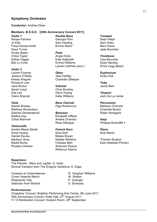# **Symphony Orchestra**

#### **Conductor:** Andrew Dean

#### **Members: B.S.S.O. [35th Anniversary Concert 2011]**

*Violin 1* Renae Fatchen Jo Ellis Freya Davies-Ardill Kiera Turner Hurley Baker Chloe Taylor Esther Gigger Mai Ly Irvine

#### *Violin 2*

Lauren Footner Jessica O'Reilly Kelsey Wagner Rosanna Lam Jane Burton Sarah Lloyd Zoe Lee Claire Sherrah

#### *Viola*

Alanah Bradey Matthew Richardson Salome Demetrashvili Nadine Kay Chloe Bremner

#### *Violoncello*

Amelie Meyer-Moelk Sonia Huang Harriet Davies Madison Sims Maddi Burke Phoebe Chilman

*Double Bass* Georgia Flinn Sam Harding Emma Akers \*

*Flute* Angie Hicks Kate Galbraith Emma Williams Lauren Carthew (picc.)

#### *Oboe*

Jess Hartley Charlotte Gillespie

*Clarinet* Chris Buckley Garry Huang Katie Williams

*Bass Clarinet* Olga Rodionova

*Bassoon* Elizabeth Affleck Amelia Chandra Rose Gillespie

#### *French Horn* Gina Nott Maisie Brown Natalie Williams Chelsea Bain Shannon Pearce Rebecca Adams

*Trumpet* Sean Helps Sam Hicks Marc Davis Jade Bouchier

*Trombone* Tara Bouchier Dylan Bentley Emily Legg (Bass)

*Euphonium* Kirsty Holt

*Tuba* Jacob Bain

*Timpani* Jack De La Lande

*Percussion* Madison Chandra Charlotte Burton Ralph Abregana

*Harp* Philippa McAuliffe †

*Piano* Shai Martin

\*Former Student East Adelaide Primary

**Repertoire:** The Planets - Mars and Jupiter, G. Holst Nimrod Variation from The Enigma Variations, E. Elgar

Fantasia on Greensleeves **R. Vaughan Williams** Crown Imperial March W. Walton Shepherds' Hey **P.** Grainger Selection from Wicked S. Schwartz

#### **Performances:**

Chaplains' Concert, Brighton Performing Arts Centre, 9th June 2011 35th Anniversary Concert, Elder Hall, 27<sup>th</sup> August 2011 Yr 12 Moderation Concert, Hudson Room, 29<sup>th</sup> September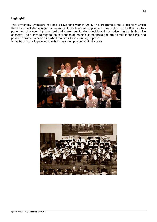# **Highlights:**

The Symphony Orchestra has had a rewarding year in 2011. The programme had a distinctly British flavour and included a larger orchestra for Holst's Mars and Jupiter – six French horns! The B.S.S.O. has performed at a very high standard and shown outstanding musicianship as evident in the high profile concerts. The orchestra rose to the challenges of the difficult repertoire and are a credit to their IMS and private instrumental teachers, who I thank for their unending support.

It has been a privilege to work with these young players again this year.



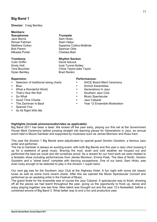# **Big Band 1**

# **Director:** Craig Bentley

# **Members:**

Jack Morris Sam Hicks Renae Fatchen Sean Helps Bob Parton **Spencer Olds** Mikaela Porter Chelsea Bain

Colin Griffin **David Adcock** Dylan Bentley Brad Rankin

# **Saxophones Trumpets**

Matthew Oulton Sapphire Collins-McBride

#### **Trombone Rhythm Section**

Kirsty Holt **Izzie Tunnis-Notley** Tara Bouchier **Chloe Taylor/Jake Taylor** 

#### **Repertoire:**

- Selection of traditional swing charts
- Blue
- What a Wonderful World
- That's How We Roll
- So What
- Good Time Charlie
- The Zachman Is Back
- Spanish Fire
- Its All Right With Me

#### **Performances:**

- SACE Board Merit Ceremony
- School Assemblies
- Generations In Jazz
- Southern Jazz Club
- Music Spectacular
- Jazz Cabaret
- Year 12 Ensemble Moderation

# **Highlights (include pictures/audio/video as applicable):**

Big Band 2011 has been a blast. We kicked off the year early, playing our first set at the Government House Merit Ceremony before jumping straight into learning pieces for Generations in Jazz, an annual event held in Mount Gambier and supported by musicians such as James Morrison and Ross Irwin.

This year the division 1 Big Bands were adjudicated by special guest Gordon Goodwin, a famous Jazz writer and performer.

The trip to Gambier is always an exciting event, with both Big Bands and this year a Jazz choir bussing it up for a weekend of great music. Braving the mud, slush and cold weather we trouped out and performed the best we could and did ourselves proud. As a reward for our hard work we were treated to a fantastic show including performances from James Morrison, Emma Pask, The Idea of North, Gordon Goodwin and a "street band" complete with dancing sousaphone. One of our band, Sam Hicks, was even lucky enough to be selected to play in the division 1 super band.

Our next gig was for the Southern Jazz Club at the Highway Hotel. A fun night with some old classic tunes as well as some more recent charts. After this we opened the Music Spectacular Concert and performed as an assisting artist in the Festival of Music.

The grand finale for the ensemble was of course the Jazz Cabaret. A spectacular way to finish, showing off all the pieces we had learnt throughout the year, giving us the opportunity to frock up, dance and enjoy playing together one last time. New talent was brought out and the year 12's farewelled, before a combined encore of Big Band 3. What better way to end a fun and productive year.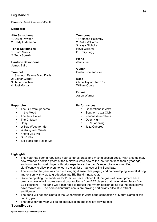# **Big Band 2**

**Director**: Mark Cameron-Smith

# **Members:**

# **Alto Saxophone**

1. Oliver Pawson 2. Carly Ludemann

# **Tenor Saxophone**

1. Tom Marks 2. Toby Sorokin

#### **Baritone Saxophone**  James Baird

**Trumpet**

- 1: Shannon Pearce Marc Davis
- 2: Esther Gigger
- 3: Jade Bouchier
- 4: Joel Morgan

# **Repertoire:**

- The Girl from Ipanema
- In the Mood
- The Jazz Police
- The Chicken
- Doxy
- Willow Weep for Me
- Walking with Giants
- Friend Like Me
- Don't Stop
- Still Rock and Roll to Me

# **Highlights**

- This year has been a rebuilding year as far as brass and rhythm section goes. With a completely new trombone section (most of the 5 players were new to the instrument less than a year ago) and only one trumpet player with prior experience, the band's repertoire was simplified significantly to allow players to learn the stylistic nuances of Big Band jazz.
- The focus for the year was on producing tight ensemble playing and on developing several strong improvisers with view to graduation into Big Band 1 next year.
- Since completing the auditions for 2012 we have noticed that the goals of development have been successful with some very strong auditions from BB2 players that have taken places from BB1 positions. The band will again need to rebuild the rhythm section as all but the bass player have moved on. The percussion/drum chairs are proving particularly difficult to attract auditionees.
- The band will not participate in the Generations in Jazz band competition at Mount Gambier this coming year.
- The focus for the year will be on improvisation and jazz style/swing feel.

# **SoundHouse**

1: Natasha Hollamby 2: Katie Williams 3: Kaya Nicholls Rhys Williams B: Emily Legg

# **Piano**

Jenny Liu

# **Guitar**

Dasha Romanowski

# **Bass**

Chloe Taylor (Term 1) William Coote

# **Drums**

Aaron Warner

# **Performances:**

- Generations in Jazz
- Southern Jazz Club
- Various Assemblies
- Open Night
- BPAC opening
- Jazz Cabaret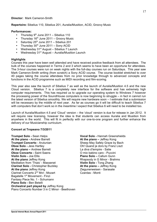**Repertoire:** Sibelius 110, Sibelius 201, Auralia/Musition, ACID, Groovy Music

#### **Performances:**

- Thursday  $9<sup>th</sup>$  June 2011 Sibelius 110
- Thursday  $16<sup>th</sup>$  June 2011 Groovy Music
- Saturday  $25<sup>th</sup>$  June 2011 Sibelius 201
- Thursday  $30<sup>th</sup>$  June 2011 Sony ACID
- Wednesday 31<sup>st</sup> August Sibelius 7 Launch
- Wednesday  $31<sup>st</sup>$  August Auralia/Musition Launch

# **Highlights**

Courses this year have been well attended and have received positive feedback from all attendees. The bulk of the courses happened in Terms 2 and 3 which seems to have been an opportune for attendees. The 3-hour courses were run on week nights with the full-day courses run on Saturdays. This year saw Mark Cameron-Smith writing (from scratch) a Sony ACID course. The course booklet stretched to over 40 pages taking the course attendees from no prior knowledge through to advanced concepts and functions in the ACID programme such as MIDI recording and film-scoring.

This year also saw the launch of Sibelius 7 as well as the launch of Auralia/Musition 4.5 and the new Cloud version. Sibelius 7 is a completely new interface for the software and has extremely high computer requirements. This has required us to upgrade our operating system to Windows 7 however the processing power of the SoundHouse computers is now beginning to struggle – in fact in cannot run the latest version of Sibelius smoothly. We will require new hardware soon – I estimate that a submission will be necessary by the middle of next year. As far as courses go it will be difficult to teach Sibelius 7 with computers that don't work so in the meantime I expect that Sibelius 6 will need to be installed too.

Launch of Auralia/Musition 4.5 and 'Cloud' version – the 'cloud' version is due for release in Jan 2012. It will require new licensing, however the idea is that students can access Auralia and Musition from anywhere in the world. This will fit in perfectly with our one-to-one program and further enhance the delivery of our Musicianship curriculum.

# **Concert at Tropeano 7/3/2011**

**Trumpet Solo -** Sean Helps **At the piano -** Andrew Barrett **Trumpet Concerto** - Arutunian **Oboe Solo -** Jess Hartley **At the piano –** Andrew Barrett **Oboe Concerto -** Saint Saens **Violin Solo -** Joe Ellis **At the piano** Jeffrey Kong Meditation from 'Thais' - Massenet **Clarinet Solo -** Christopher Buckley **At the piano** Jeffrey Kong Clarinet Concerto 2nd Mvt - Mozart Bagatelle 1<sup>st</sup> Movement - Finzi Fantasy Piece No. 1 - Schumann **Piano Solo -** Ben Betelli **Orchestral part played by** Jeffrey Kong Piano Concerto Number 3 in C Minor - Beethoven

**Vocal Solo -** Hannah Greenshields **At the piano –** Jeffrey Kong Sheep May Safely Graze by Bach Oh! Quand je dors by Franz Liszt La diva d'lempire - Satie O mio babino caro - Puccini **Piano Solo –** Callum Gunn Rhapsody in G Minor - Brahms **Violin Solo -** Tong Zhang **At the piano –** Jeffrey Kong Ziegunerweisen - Sarasate Czardas - Monti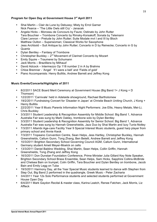# **Program for Open Day at Government House 3rd April 2011**

- Shai Martin Clair de Lune by Debussy; Misty by Errol Garner Nick Pearce – 'The Little Owls still Cry' - Janacek
- Angela Hicks Morceau de Concours by Faure; Ostinato by John Rutter Tara Bouchier – Trombone Concerto by Rimsky-Korsakoff; Sonata by Telemann Clare Lennon – Prelude by John Rutter; Suite Modale mvt I and III by Bloch Matthew Oulton – Superwoman; Classical Works for Saxophone
- Jess Archbold Suit Antique by John Rutter; Concerto in D by Reinecke; Concerto in G by Quantz
- Dylan Bentley Fantasy of Trombone
- Christopher Buckley  $-2^{nd}$  Movement of Clarinet Concerto by Mozart
- Emily Squire Traumerei by Schumann
- Jack Morris Brazilliera by Milhaud'
- David Adcock Intermezzo Op 118 number 2 in A by Brahms
- Chloe Bremner 'Angel' 'If I were a bell' and 'Fields of gold'
- Piano Accompanists: Henry Bullitis, Andrew Barrett and Jeffrey Kong

# **Music Events/Concerts/Highlights of 2011**

- 8/2/2011 SACE Board Merit Ceremony at Government House (Big Band 1+ J Kong + D Thomson)
- 12/2/2011 'Carnivale' held in Adelaide showground, Rachael Bartholomew
- 19/2/2011 Fundraising Concert for 'Disaster in Japan' at Christie Beach Uniting Church, J Kong + Henry Bullitis
- 22/2/2011 Year 8 Music Parents Information Night Performers: Joe Ellis, Heavy Metals, Mei-Li, Chris Buckley
- 3/3/2011 Student Leadership & Recognition Assembly for Middle School: Big Band 1, Advance Australia Fair was sung by Mark Oakley, trombone solo by Dylan Bentley
- 3/3/2011 Student Leadership & Recognition Assembly for Senior School: Big Band 1, Advance Australia Fair was sung by Hannah Greenshields, Jazz Duo by Shai Martin and Izzy Tunis-Notley
- 7/3/2011 Allambi Age-care Facility Year 9 Special Interest Music students, guest harp player from primary school and Annie Kwok
- 7/3/2011 Tropeano Convention Centre, Sean Helps, Jess Hartley, Christopher Buckley, Hannah Greenshields, Callum Gunn, Tong Zhang, Ben Betelli, Andrew Barrett and Jeffrey Kong
- 10/3/2011 Brighton Secondary School Governing Council AGM, Callum Gunn, International Germany student Ameli Meyer-Moelck on cello
- 13/3/2011 Daniel Baldino Wedding, Shai Martin, Sean Helps, Collin Griffin, Hannah Greenshields, Tong Zhang and Jeffrey Kong
- 16/3/2011 Don Dunstan Foundation Conference, Prime Minister Julia Gillard Key Note Speaker, Brighton Secondary School Brass Ensemble, Sean Helps, Sam Hicks, Sapphire Collins-McBride and Chelsea Bain on trumpet, Colin Griffin, Tara Bouchier and Dylan Bentley on trombone, Jacob Bain and Emily Legg on Tuba
- 19/3/2011 Harmony Day, all the Year Special Music students learned to dance with Stephen from Step Out, Big Band 2 performed in the quadrangle, Greek Music - Peter Zacharia
- 3/4/2011 Year 12s Solo Performance students and selected students performed at Government House Open Day
- 6/4/2011 Mark Gaydon Recital & master class, Karina Leatch, Renee Fatchen, Jack Morris, Liz Affleck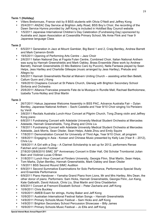# **Term 1 (Holiday)**

- Villers Bretonnuex, France visit by 8 BSS students with Olivia O'Neill and Jeffrey Kong
- 25/4/2011 ANZAC Day Service at Brighton Jetty Road, BSS Boy's Choir, the recording of the Dawn Service Hymns provided by Jeff Kong is included in Holdfast Bay Council website
- 1/5/2011 Japanese International Children's Day Celebration (Fundraising Day) sponsored by Australia and Japan Association at Cowandilla Primary School, Ms Amie Flink and Year 9 Japanese language Class

# **Term 2**

- 6/5/2011 Generation in Jazz at Mount Gambier, Big Band 1 and 2, Craig Bentley, Andrew Barrett and Mark Cameron-Smith
- 19/5/2011 Opening of Performing Arts Centre Jazz Choir
- 2/6/2011 Italian National Day at Fogola Fulan Centre, Combined Choir, Italian National Anthem was sung by Hannah Greenshields and Mark Oakley, Brass Ensemble (New work by Andrew Barrett), Hannah Greenshields (O Mio Babbino Caro by Puccini), Nella Fantasia played by Sean Helps, Jess Hartley and Charlotte Gillespie (music arranged by Jess Hartley), Prelude and Allegro by
- 5/6/2011 Hannah Greenshields Recital at Malvern Uniting Church assisting artist Ben Betelli, Callum Gunn and J Kong
- 19/6/2010 Chaplains Concert at St Peters Church, Glenelg with Brighton Secondary School Sinfonia and Orchestra
- 25/6/2011 Alliance Francaise presents Fete de la Musique in Rundle Mall, Rachael Bartholomew, Izabella Tunis-Notley and Shai Martin

# **Term 3**

- 26/7/2011 Hakua Japanese Welcome Assembly in BSS PAC, Advance Australia Fair Dylan Bentley, Japanese National Anthem – Sachi Castella and Year 9/10 Choir singing Va Pensiero by Verdi
- 3/8/2011 Recitals Australia Lunch-Hour Concert at Pilgrim Church, Tong Zhang violin and Jeffrey Kong piano
- 6/8/2011 Fundraising Concert with Adelaide University Medical Student Orchestra at Mercedes Adelaide, Hannah Greenshields, Tong Zhang and Chris Liu
- 7/8/2011 Fundraising Concert with Adelaide University Medical Student Orchestra at Mercedes Adelaide, Jack Morris, Sean Olsder, Sean Helps, Adele Zhou and Emily Squire
- 17/8/2011 Demonstration Concert for University of Third Age, Year 9/10 Choir, all program
- 18/8/2011 Engaging in Asia Korean and Chinese Music presented by Kelly Lee (Year 8 2012), Chris Liu
- 18/8/2011 A Girl with a Dog A Clarinet Scholarship is set up for 2012, performers Renae Fatchen and Lauren Footner
- 27/8/20128/8/2010 SIMC 35<sup>th</sup> Anniversary Concert in Elder Hall, Old Scholar Trombonist Julian Bain and Violinist Lucas O'Brien
- 31/8/2011 Lunch Hour Concert at Flinders University, Georgia Flinn, Shai Martin, Sean Helps, Tom Marks, Dylan Bentley, Hannah Greenshields, Mark Oakley and Sean Olsder
- 1/9/2011 BSS Second Round SIMC Audition
- 6/9/2011 Second Summative Examinations for Solo Performance, Performance Special Study and Ensemble Performance
- 6/9/2011 Piano Handover Yamaha Grand Piano from Lions, Mr and Mrs Hartley, Mrs Dean, the other donor of piano. Performers: Sam Hicks, Hannah Greenshields, Georgia Flinn, Jun Kang, Kate Galbraith, David Adcock, Chris Liu, Shai Martin and Gina Chadderton
- 6/9/2011 Concert at Fremont Elizabeth School Peter Zacharia and Jeff Kong
- 10/9/2011 Chris Buckley
- 10/9/2011 AMEB Exam for strings, Hurley Baker and Jeff Kong
- 10/9/2011 Australian International Festival Italian Songs Hannah Greenshields
- 14/9/2011 Primary Schools Music Festival Sam Hicks and Jeff Kong
- 14/9/2011 Brighton Secondary School Percussion Showcase Billy James
- 16/9/2011 Primary Schools Music Festival Jo Ellis and Jeff Kong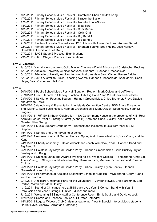- 17/9/2011 Primary Schools Music Festival Ilfracombe Illusion
- 17/9/2011 Primary Schools Music Festival Izabella Tunis-Notley
- 18/9/2011 Primary Schools Music Festival Eliza Sard
- 18/9/2011 Primary Schools Music Festival Shai Martin
- 20/9/2011 Primary Schools Music Festival Colin Griffin
- 20/9/2011 Primary Schools Music Festival Big Band 1
- 21/9/2011 Primary Schools Music Festival Big Band 2
- 21/9/2011 Recitals Australia Concert Year 12 Soloists with Annie Kwok and Andrew Barrett
- 22/9/2011 Primary Schools Music Festival Brighton Sparks, Sean Helps, Jess Hartley, Charlotte Gillespie and Jeff Kong
- 27/9/2011 SACE Stage 2 Practical Examinations
- 29/9/2011 SACE Stage 2 Practical Examinations

# **Term 3 (Vacation)**

- 2/10/2011 Yamaha Accompanist Guild Master Classes David Adcock and Christopher Buckley
- 4/10/2011 Adelaide University Audition for vocal students Hannah Greenshields
- 5/10/2011 Adelaide University Audition for wind instruments Sean Olsder, Renee Fatchen
- 5/10/2011 South Australian Public Teaching Awards, Hannah Greenshields, Shai Martin, Sean Helps, Sean Olsder and Jeff Kong

# **Term 4**

- 20/10/2011 Public School Music Festival (Southern Region) Mark Oakley and Jeff Kong
- 21/10/2011 Jazz Cabaret in Glenelg Function Club, Big Band 1and 2, Ratpack and Soloists
- 23/10/2011 St Hilarion Feast at Seaton Hannah Greenshields, Chloe Bremner, Freya Davies and Jayden Rowell
- 26/10/2010 Valedictory & Presentation in Adelaide Convention Centre, BSS Brass Ensemble, Shai Martin & Izzie Tunis-Notley, Hannah Greenshields & Mark Oakley, Sean Helps, Year 12 **Singers**
- 13/11/2011 175<sup>th</sup> SA Birthday Celebration in SA Government House in the presence of H.E. Rear Admiral Scarce, Year 10 String Quartet (A and B), Kate and Chris Buckley, Katie Clarinet Quartet, Viva Zhang
- 15/11/2011 Music Support Group party Ratpack and incidental music from Year 8 SIM Stephani
- 15/11/2011 Strings and Choir Evening at school
- 20/11/2011 Andrew Southcott Garden Party at Springfield House Ratpack, Viva Zhang and Jeff Kong
- 24/11/2011 Charity Assembly David Adcock and Jacob Whitelock, Year 9 Concert Band and Big Band 2
- 25/11/2011 Holdfast Bay Mayoral Garden Party Hannah Greenshields, Chris Buckley, Dylan Bentley and J Kong
- 25/11/2011 Chinese Language Awards evening held at Walford College Tong Zhang, Chris Liu, Adele Zhang, String Quartet – Nadine Kay, Rosanna Lam, Mathew Richardson and Phoebe Chilman
- 25/11/2011 Holdfast Bay Mayoral Garden Party Chris Buckley, Dylan Bentley, Hannah Greenshields and J Kong
- 30/11/2011 Performance at Adelaide Secondary School for English Viva Zhang, Garry Huang and Bob Parton
- 2/11/2011 Anglicare Christmas Party for the volunteers' Jayden Rowell, Chloe Bremner, Bob Parton, Martin and Mark Oakley
- 4/12/2011 Sound of Christmas held at BSS back oval, Year 8 Concert Band with Year 8 Percussion and Year 8 Strings, 'Limited Edition' and more
- 7/12/2011 Welcoming BSS new staff at Conference Room, Emily Squire and David Adcock
- 12/12/2011 Carols and Lessons Service at St Peter Cathedral
- 14/12/2011 Legacy Widow's Club Christmas gathering, Year 8 Special Interest Music students, Harriet Davis, Andrew Barrett and Jeff Kong